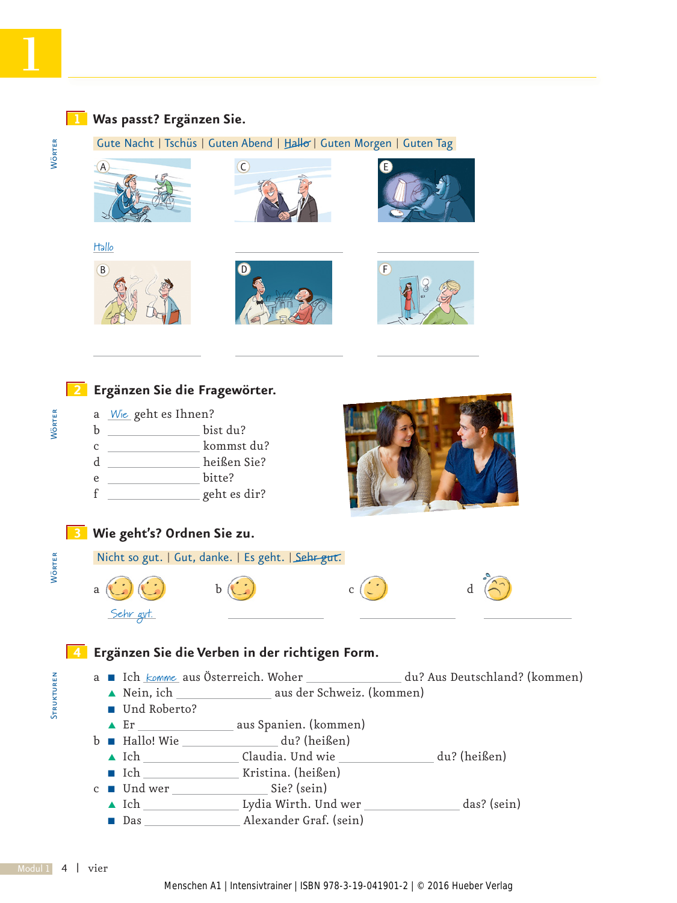# WÖRTER

### **1 Was passt? Ergänzen Sie.**

Gute Nacht | Tschüs | Guten Abend | Hallo | Guten Morgen | Guten Tag

















### **4 Ergänzen Sie die Verben in der richtigen Form.**

a Ich <u>komme</u> aus Österreich. Woher du? Aus Deutschland? (kommen)<br> **A** Nein, ich aus der Schweiz. (kommen)

- aus der Schweiz. (kommen)
- Und Roberto?
- ▲ Er \_\_\_\_\_\_\_\_\_\_\_\_\_\_\_\_\_\_\_\_ aus Spanien. (kommen)
- b Q Hallo! Wie du? (heißen)
	- V Ich Claudia. Und wie du? (heißen)
	- Ich Kristina. (heißen)
- $c \blacksquare$  Und wer  $\blacksquare$  Sie? (sein)
	- ▲ Ich Lydia Wirth. Und wer \_\_\_\_\_\_\_\_\_\_\_\_\_\_\_ das? (sein)
	- Das Alexander Graf. (sein)

STRUKTUREN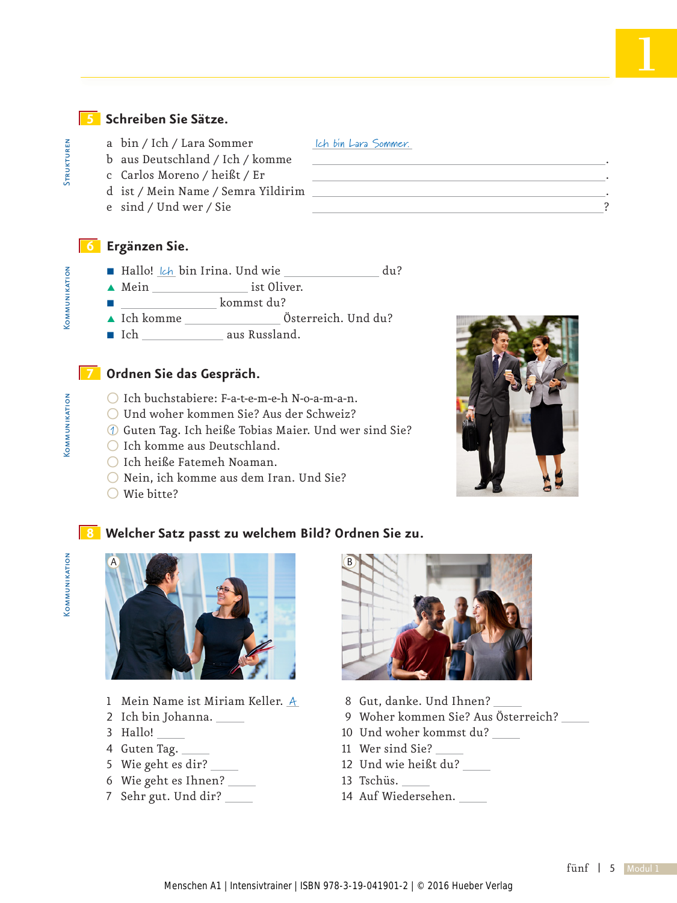### **5 Schreiben Sie Sätze.**

- a bin / Ich / Lara Sommer Ich bin Lara Sommer.
- b aus Deutschland / Ich / komme .
- c Carlos Moreno / heißt / Er .
- d ist / Mein Name / Semra Yildirim .
- e sind / Und wer / Sie ?

### **6 Ergänzen Sie.**

- M Hallo! *Ich* bin Irina. Und wie \_\_\_\_\_\_\_\_\_\_\_\_\_\_ du?
- ▲ Mein ist Oliver.
- Q kommst du?
- ▲ Ich komme Österreich. Und du?
- Ich aus Russland.

### **7 Ordnen Sie das Gespräch.**

- O Ich buchstabiere: F-a-t-e-m-e-h N-o-a-m-a-n.
- O Und woher kommen Sie? Aus der Schweiz?
- O Guten Tag. Ich heiße Tobias Maier. Und wer sind Sie? 1
- O Ich komme aus Deutschland.
- O Ich heiße Fatemeh Noaman.
- O Nein, ich komme aus dem Iran. Und Sie?
- O Wie bitte?



- 8 Gut, danke. Und Ihnen?
- 9 Woher kommen Sie? Aus Österreich?
- 10 Und woher kommst du?
- 11 Wer sind Sie?
- 12 Und wie heißt du?
- 13 Tschüs.
- 14 Auf Wiedersehen.

# **COMMUNIKATION**

# Strukturen Kommunikation Kommunikation **COMMUNIKATION**

 Kommunikation **COMMUNIKATION** 



- 1 Mein Name ist Miriam Keller. A
- 2 Ich bin Johanna.
- 3 Hallo!
- 4 Guten Tag.
- 5 Wie geht es dir?
- 6 Wie geht es Ihnen? 7 Sehr gut. Und dir?

**STRUKTUREN**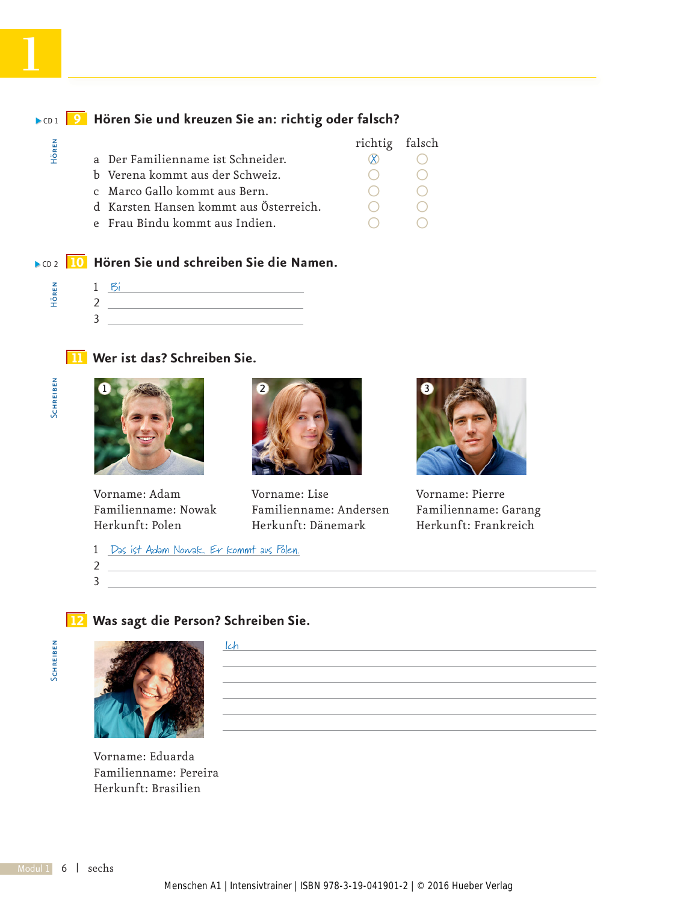#### **9 Hören Sie und kreuzen Sie an: richtig oder falsch?** CD 1 richtig falsch a Der Familienname ist Schneider.  $\qquad \qquad \otimes \qquad \bigcirc$ b Verena kommt aus der Schweiz.  $\bigcirc$  O O O C Marco Gallo kommt aus Bern.  $\bigcirc$  O O c Marco Gallo kommt aus Bern. O O Hören  $\infty$

- d Karsten Hansen kommt aus Österreich.  $\bigcirc$
- e Frau Bindu kommt aus Indien.

### **10 Hören Sie und schreiben Sie die Namen.** CD 2

### **11 Wer ist das? Schreiben Sie.**







Vorname: Adam Vorname: Lise Vorname: Pierre Familienname: Nowak Familienname: Andersen Familienname: Garang



Herkunft: Frankreich

1 Das ist Adam Nowak. Er kommt aus Polen.

2 3

### **12 Was sagt die Person? Schreiben Sie.**





Vorname: Eduarda Familienname: Pereira

| a. | lch |
|----|-----|
|    |     |
|    |     |
|    |     |
|    |     |

Herkunft: Brasilien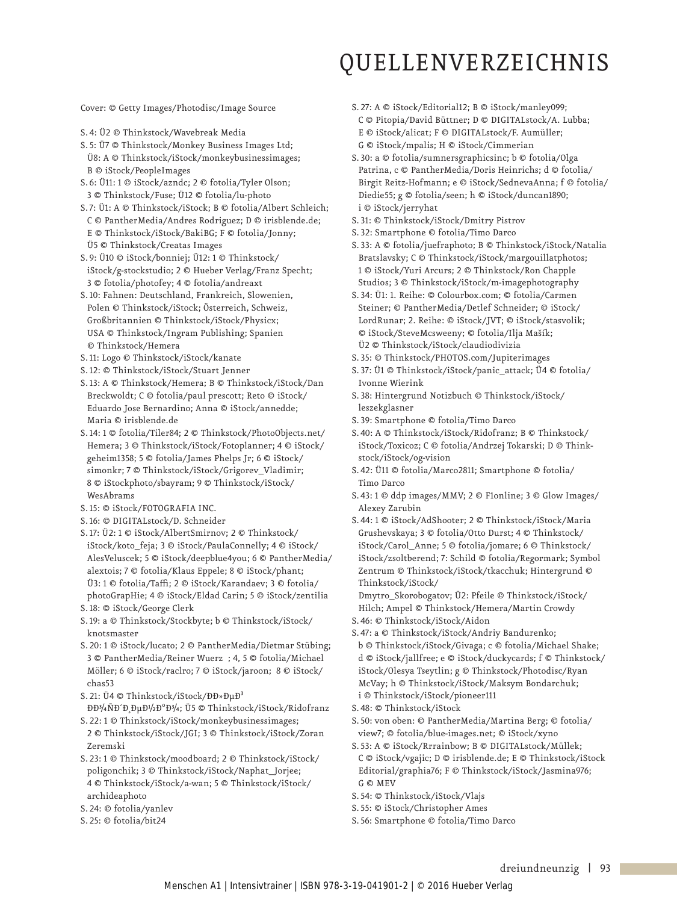### QUELLENVERZEICHNIS

Cover: © Getty Images/Photodisc/Image Source

- S. 4: Ü2 © Thinkstock/Wavebreak Media
- S. 5: Ü7 © Thinkstock/Monkey Business Images Ltd;
- Ü8: A © Thinkstock/iStock/monkeybusinessimages; B © iStock/PeopleImages
- S. 6: Ü11: 1 © iStock/azndc; 2 © fotolia/Tyler Olson; 3 © Thinkstock/Fuse; Ü12 © fotolia/lu-photo
- S. 7: Ü1: A © Thinkstock/iStock; B © fotolia/Albert Schleich; C © PantherMedia/Andres Rodriguez; D © irisblende.de; E © Thinkstock/iStock/BakiBG; F © fotolia/Jonny; Ü5 © Thinkstock/Creatas Images
- S. 9: Ü10 © iStock/bonniej; Ü12: 1 © Thinkstock/ iStock/g-stockstudio; 2 © Hueber Verlag/Franz Specht; 3 © fotolia/photofey; 4 © fotolia/andreaxt
- S. 10: Fahnen: Deutschland, Frankreich, Slowenien, Polen © Thinkstock/iStock; Österreich, Schweiz, Groß britannien © Thinkstock/iStock/Physicx; USA © Thinkstock/Ingram Publishing; Spanien © Thinkstock/Hemera
- S. 11: Logo © Thinkstock/iStock/kanate
- S. 12: © Thinkstock/iStock/Stuart Jenner
- S. 13: A © Thinkstock/Hemera; B © Thinkstock/iStock/Dan Breckwoldt; C © fotolia/paul prescott; Reto © iStock/ Eduardo Jose Bernardino; Anna © iStock/annedde; Maria © irisblende.de
- S. 14: 1 © fotolia/Tiler84; 2 © Thinkstock/PhotoObjects.net/ Hemera; 3 © Thinkstock/iStock/Fotoplanner; 4 © iStock/ geheim1358; 5 © fotolia/James Phelps Jr; 6 © iStock/ simonkr; 7 © Thinkstock/iStock/Grigorev\_Vladimir; 8 © iStockphoto/sbayram; 9 © Thinkstock/iStock/ WesAbrams
- S. 15: © iStock/FOTOGRAFIA INC.
- S. 16: © DIGITALstock/D. Schneider
- S. 17: Ü2: 1 © iStock/AlbertSmirnov; 2 © Thinkstock/ iStock/koto\_feja; 3 © iStock/PaulaConnelly; 4 © iStock/ AlesVeluscek; 5 © iStock/deepblue4you; 6 © PantherMedia/ alextois; 7 © fotolia/Klaus Eppele; 8 © iStock/phant; Ü3: 1 © fotolia/Taffi; 2 © iStock/Karandaev; 3 © fotolia/ photoGrapHie; 4 © iStock/Eldad Carin; 5 © iStock/zentilia
- S. 18: © iStock/George Clerk
- S. 19: a © Thinkstock/Stockbyte; b © Thinkstock/iStock/ knotsmaster
- S. 20: 1 © iStock/lucato; 2 © PantherMedia/Dietmar Stübing; 3 © PantherMedia/Reiner Wuerz ; 4, 5 © fotolia/Michael Möller; 6 © iStock/raclro; 7 © iStock/jaroon; 8 © iStock/ chas53
- S. 21: Ü4 © Thinkstock/iStock/ĐлеĐ<sup>3</sup> ĐĐ<sup>3</sup>/4ÑĐ<sup>2</sup>Đ ĐμĐ<sup>1</sup>/2Đ<sup>o</sup>Đ<sup>3</sup>/4; Ü5 © Thinkstock/iStock/Ridofranz
- S. 22: 1 © Thinkstock/iStock/monkeybusinessimages; 2 © Thinkstock/iStock/JGI; 3 © Thinkstock/iStock/Zoran Zeremski
- S. 23: 1 © Thinkstock/moodboard; 2 © Thinkstock/iStock/ poligonchik; 3 © Thinkstock/iStock/Naphat\_Jorjee; 4 © Thinkstock/iStock/a-wan; 5 © Thinkstock/iStock/ archideaphoto
- S. 24: © fotolia/yanlev
- S. 25: © fotolia/bit24
- S. 27: A © iStock/Editorial12; B © iStock/manley099;
- C © Pitopia/David Büttner; D © DIGITALstock/A. Lubba;
- E © iStock/alicat; F © DIGITALstock/F. Aumüller;
- G © iStock/mpalis; H © iStock/Cimmerian
- S. 30: a © fotolia/sumnersgraphicsinc; b © fotolia/Olga Patrina, c © PantherMedia/Doris Heinrichs; d © fotolia/ Birgit Reitz-Hofmann; e © iStock/SednevaAnna; f © fotolia/ Diedie55; g © fotolia/seen; h © iStock/duncan1890; i © iStock/jerryhat
- S. 31: © Thinkstock/iStock/Dmitry Pistrov
- S. 32: Smartphone © fotolia/Timo Darco
- S. 33: A © fotolia/juefraphoto; B © Thinkstock/iStock/Natalia Bratslavsky; C © Thinkstock/iStock/margouillatphotos; 1 © iStock/Yuri Arcurs; 2 © Thinkstock/Ron Chapple Studios; 3 © Thinkstock/iStock/m-imagephotography
- S. 34: Ü1: 1. Reihe: © Colourbox.com; © fotolia/Carmen Steiner; © PantherMedia/Detlef Schneider; © iStock/ LordRunar; 2. Reihe: © iStock/JVT; © iStock/stasvolik; © iStock/SteveMcsweeny; © fotolia/Ilja Mašík; Ü2 © Thinkstock/iStock/claudiodivizia
- S. 35: © Thinkstock/PHOTOS.com/Jupiterimages
- S. 37: Ü1 © Thinkstock/iStock/panic\_attack; Ü4 © fotolia/ Ivonne Wierink
- S. 38: Hintergrund Notizbuch © Thinkstock/iStock/ leszekglasner
- S. 39: Smartphone © fotolia/Timo Darco
- S. 40: A © Thinkstock/iStock/Ridofranz; B © Thinkstock/ iStock/Toxicoz; C © fotolia/Andrzej Tokarski; D © Thinkstock/iStock/og-vision
- S. 42: Ü11 © fotolia/Marco2811; Smartphone © fotolia/ Timo Darco
- S. 43: 1 © ddp images/MMV; 2 © F1online; 3 © Glow Images/ Alexey Zarubin
- S. 44: 1 © iStock/AdShooter; 2 © Thinkstock/iStock/Maria Grushevskaya; 3 © fotolia/Otto Durst; 4 © Thinkstock/ iStock/Carol\_Anne; 5 © fotolia/jomare; 6 © Thinkstock/ iStock/zsoltberend; 7: Schild © fotolia/Regormark; Symbol Zentrum © Thinkstock/iStock/tkacchuk; Hintergrund © Thinkstock/iStock/

Dmytro\_Skorobogatov; Ü2: Pfeile © Thinkstock/iStock/ Hilch; Ampel © Thinkstock/Hemera/Martin Crowdy

- S. 46: © Thinkstock/iStock/Aidon
- S. 47: a © Thinkstock/iStock/Andriy Bandurenko; b © Thinkstock/iStock/Givaga; c © fotolia/Michael Shake; d © iStock/jallfree; e © iStock/duckycards; f © Thinkstock/ iStock/Olesya Tseytlin; g © Thinkstock/Photodisc/Ryan McVay; h © Thinkstock/iStock/Maksym Bondarchuk; i © Thinkstock/iStock/pioneer111
- S. 48: © Thinkstock/iStock
- S. 50: von oben: © PantherMedia/Martina Berg; © fotolia/ view7; © fotolia/blue-images.net; © iStock/xyno
- S. 53: A © iStock/Rrrainbow; B © DIGITALstock/Müllek; C © iStock/vgajic; D © irisblende.de; E © Thinkstock/iStock Editorial/graphia76; F © Thinkstock/iStock/Jasmina976; G © MEV
- S. 54: © Thinkstock/iStock/Vlajs
- S. 55: © iStock/Christopher Ames
- S. 56: Smartphone © fotolia/Timo Darco